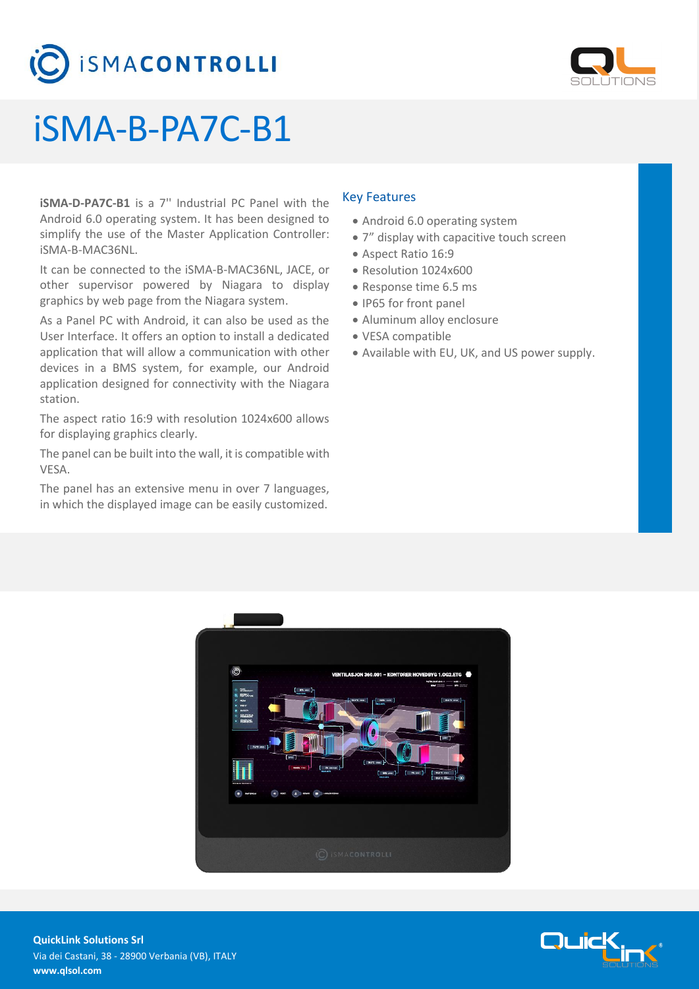



## iSMA-B-PA7C-B1

**iSMA-D-PA7C-B1** is a 7'' Industrial PC Panel with the Android 6.0 operating system. It has been designed to simplify the use of the Master Application Controller: iSMA-B-MAC36NL.

It can be connected to the iSMA-B-MAC36NL, JACE, or other supervisor powered by Niagara to display graphics by web page from the Niagara system.

As a Panel PC with Android, it can also be used as the User Interface. It offers an option to install a dedicated application that will allow a communication with other devices in a BMS system, for example, our Android application designed for connectivity with the Niagara station.

The aspect ratio 16:9 with resolution 1024x600 allows for displaying graphics clearly.

The panel can be built into the wall, it is compatible with VESA.

The panel has an extensive menu in over 7 languages, in which the displayed image can be easily customized.

#### Key Features

- Android 6.0 operating system
- 7" display with capacitive touch screen
- Aspect Ratio 16:9
- Resolution 1024x600
- Response time 6.5 ms
- IP65 for front panel
- Aluminum alloy enclosure
- VESA compatible
- Available with EU, UK, and US power supply.



Quick

**QuickLink Solutions Srl** Via dei Castani, 38 - 28900 Verbania (VB), ITALY **www.qlsol.com**